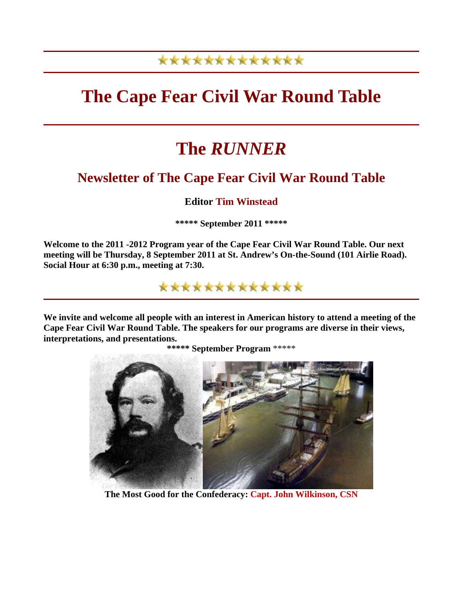# \*\*\*\*\*\*\*\*\*\*\*\*\*

# **The Cape Fear Civil War Round Table**

# **The** *RUNNER*

# **Newsletter of The Cape Fear Civil War Round Table**

# **Editor Tim Winstead**

**\*\*\*\*\* September 2011 \*\*\*\*\***

**Welcome to the 2011 -2012 Program year of the Cape Fear Civil War Round Table. Our next meeting will be Thursday, 8 September 2011 at St. Andrew's On-the-Sound (101 Airlie Road). Social Hour at 6:30 p.m., meeting at 7:30.**

\*\*\*\*\*\*\*\*\*\*\*\*\*

**We invite and welcome all people with an interest in American history to attend a meeting of the Cape Fear Civil War Round Table. The speakers for our programs are diverse in their views, interpretations, and presentations.** 

**\*\*\*\*\* September Program** \*\*\*\*\*



**The Most Good for the Confederacy: Capt. John Wilkinson, CSN**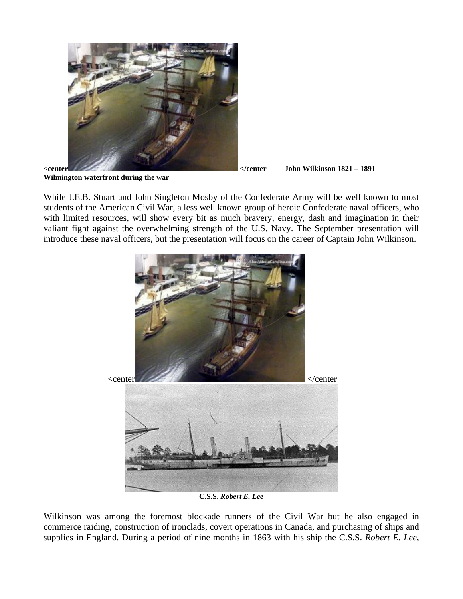

**Wilmington waterfront during the war**

While J.E.B. Stuart and John Singleton Mosby of the Confederate Army will be well known to most students of the American Civil War, a less well known group of heroic Confederate naval officers, who with limited resources, will show every bit as much bravery, energy, dash and imagination in their valiant fight against the overwhelming strength of the U.S. Navy. The September presentation will introduce these naval officers, but the presentation will focus on the career of Captain John Wilkinson.



**C.S.S.** *Robert E. Lee*

Wilkinson was among the foremost blockade runners of the Civil War but he also engaged in commerce raiding, construction of ironclads, covert operations in Canada, and purchasing of ships and supplies in England. During a period of nine months in 1863 with his ship the C.S.S. *Robert E. Lee*,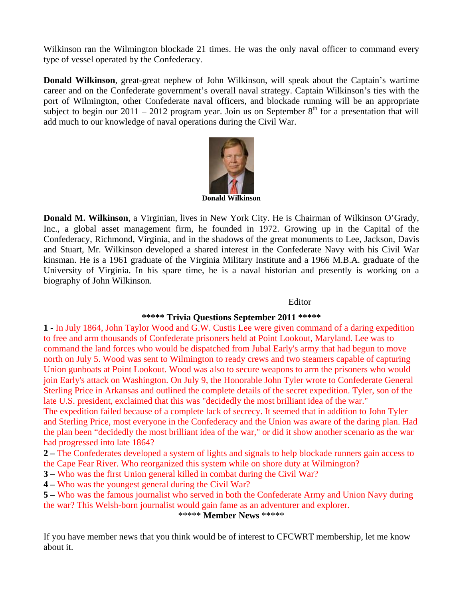Wilkinson ran the Wilmington blockade 21 times. He was the only naval officer to command every type of vessel operated by the Confederacy.

**Donald Wilkinson**, great-great nephew of John Wilkinson, will speak about the Captain's wartime career and on the Confederate government's overall naval strategy. Captain Wilkinson's ties with the port of Wilmington, other Confederate naval officers, and blockade running will be an appropriate subject to begin our 2011 – 2012 program year. Join us on September  $8<sup>th</sup>$  for a presentation that will add much to our knowledge of naval operations during the Civil War.



**Donald Wilkinson**

**Donald M. Wilkinson**, a Virginian, lives in New York City. He is Chairman of Wilkinson O'Grady, Inc., a global asset management firm, he founded in 1972. Growing up in the Capital of the Confederacy, Richmond, Virginia, and in the shadows of the great monuments to Lee, Jackson, Davis and Stuart, Mr. Wilkinson developed a shared interest in the Confederate Navy with his Civil War kinsman. He is a 1961 graduate of the Virginia Military Institute and a 1966 M.B.A. graduate of the University of Virginia. In his spare time, he is a naval historian and presently is working on a biography of John Wilkinson.

#### Editor

#### **\*\*\*\*\* Trivia Questions September 2011 \*\*\*\*\***

**1 -** In July 1864, John Taylor Wood and G.W. Custis Lee were given command of a daring expedition to free and arm thousands of Confederate prisoners held at Point Lookout, Maryland. Lee was to command the land forces who would be dispatched from Jubal Early's army that had begun to move north on July 5. Wood was sent to Wilmington to ready crews and two steamers capable of capturing Union gunboats at Point Lookout. Wood was also to secure weapons to arm the prisoners who would join Early's attack on Washington. On July 9, the Honorable John Tyler wrote to Confederate General Sterling Price in Arkansas and outlined the complete details of the secret expedition. Tyler, son of the late U.S. president, exclaimed that this was "decidedly the most brilliant idea of the war."

The expedition failed because of a complete lack of secrecy. It seemed that in addition to John Tyler and Sterling Price, most everyone in the Confederacy and the Union was aware of the daring plan. Had the plan been "decidedly the most brilliant idea of the war," or did it show another scenario as the war had progressed into late 1864?

**2 –** The Confederates developed a system of lights and signals to help blockade runners gain access to the Cape Fear River. Who reorganized this system while on shore duty at Wilmington?

**3 –** Who was the first Union general killed in combat during the Civil War?

**4 –** Who was the youngest general during the Civil War?

**5 –** Who was the famous journalist who served in both the Confederate Army and Union Navy during the war? This Welsh-born journalist would gain fame as an adventurer and explorer.

\*\*\*\*\* **Member News** \*\*\*\*\*

If you have member news that you think would be of interest to CFCWRT membership, let me know about it.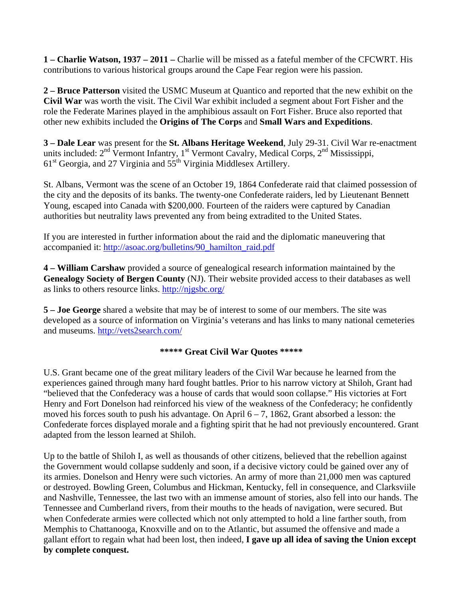**1 – Charlie Watson, 1937 – 2011 –** Charlie will be missed as a fateful member of the CFCWRT. His contributions to various historical groups around the Cape Fear region were his passion.

**2 – Bruce Patterson** visited the USMC Museum at Quantico and reported that the new exhibit on the **Civil War** was worth the visit. The Civil War exhibit included a segment about Fort Fisher and the role the Federate Marines played in the amphibious assault on Fort Fisher. Bruce also reported that other new exhibits included the **Origins of The Corps** and **Small Wars and Expeditions**.

**3 – Dale Lear** was present for the **St. Albans Heritage Weekend**, July 29-31. Civil War re-enactment units included:  $2<sup>nd</sup>$  Vermont Infantry,  $1<sup>st</sup>$  Vermont Cavalry, Medical Corps,  $2<sup>nd</sup>$  Mississippi,  $61<sup>st</sup> Georgia$ , and 27 Virginia and  $55<sup>th</sup>$  Virginia Middlesex Artillery.

St. Albans, Vermont was the scene of an October 19, 1864 Confederate raid that claimed possession of the city and the deposits of its banks. The twenty-one Confederate raiders, led by Lieutenant Bennett Young, escaped into Canada with \$200,000. Fourteen of the raiders were captured by Canadian authorities but neutrality laws prevented any from being extradited to the United States.

If you are interested in further information about the raid and the diplomatic maneuvering that accompanied it: [http://asoac.org/bulletins/90\\_hamilton\\_raid.pdf](http://asoac.org/bulletins/90_hamilton_raid.pdf) 

**4 – William Carshaw** provided a source of genealogical research information maintained by the **Genealogy Society of Bergen County** (NJ). Their website provided access to their databases as well as links to others resource links. <http://njgsbc.org/>

**5 – Joe George** shared a website that may be of interest to some of our members. The site was developed as a source of information on Virginia's veterans and has links to many national cemeteries and museums.<http://vets2search.com/>

### **\*\*\*\*\* Great Civil War Quotes \*\*\*\*\***

U.S. Grant became one of the great military leaders of the Civil War because he learned from the experiences gained through many hard fought battles. Prior to his narrow victory at Shiloh, Grant had "believed that the Confederacy was a house of cards that would soon collapse." His victories at Fort Henry and Fort Donelson had reinforced his view of the weakness of the Confederacy; he confidently moved his forces south to push his advantage. On April  $6 - 7$ , 1862, Grant absorbed a lesson: the Confederate forces displayed morale and a fighting spirit that he had not previously encountered. Grant adapted from the lesson learned at Shiloh.

Up to the battle of Shiloh I, as well as thousands of other citizens, believed that the rebellion against the Government would collapse suddenly and soon, if a decisive victory could be gained over any of its armies. Donelson and Henry were such victories. An army of more than 21,000 men was captured or destroyed. Bowling Green, Columbus and Hickman, Kentucky, fell in consequence, and Clarksviile and Nashville, Tennessee, the last two with an immense amount of stories, also fell into our hands. The Tennessee and Cumberland rivers, from their mouths to the heads of navigation, were secured. But when Confederate armies were collected which not only attempted to hold a line farther south, from Memphis to Chattanooga, Knoxville and on to the Atlantic, but assumed the offensive and made a gallant effort to regain what had been lost, then indeed, **I gave up all idea of saving the Union except by complete conquest.**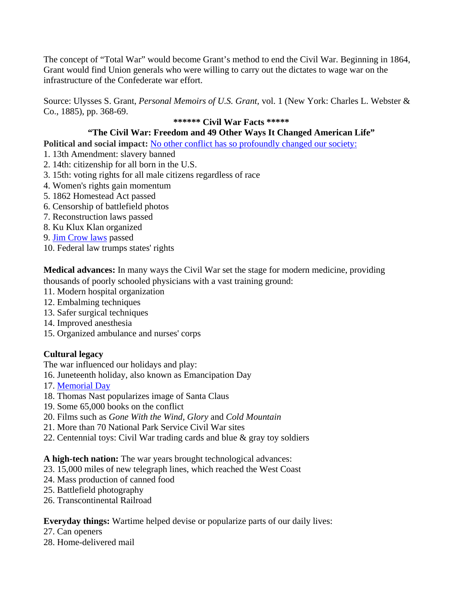The concept of "Total War" would become Grant's method to end the Civil War. Beginning in 1864, Grant would find Union generals who were willing to carry out the dictates to wage war on the infrastructure of the Confederate war effort.

Source: Ulysses S. Grant, *Personal Memoirs of U.S. Grant,* vol. 1 (New York: Charles L. Webster & Co., 1885), pp. 368-69.

### **\*\*\*\*\*\* Civil War Facts \*\*\*\*\***

## **"The Civil War: Freedom and 49 Other Ways It Changed American Life"**

**Political and social impact:** [No other conflict has so profoundly changed our society:](http://www.aarp.org/politics-society/history/info-04-2011/8-ways-civil-war-changed-lives.html)

- 1. 13th Amendment: slavery banned
- 2. 14th: citizenship for all born in the U.S.
- 3. 15th: voting rights for all male citizens regardless of race
- 4. Women's rights gain momentum
- 5. 1862 Homestead Act passed
- 6. Censorship of battlefield photos
- 7. Reconstruction laws passed
- 8. Ku Klux Klan organized
- 9. [Jim Crow laws](http://www.aarp.org/politics-society/history/info-05-2011/students-retrace-historic-freedom-ride.html) passed
- 10. Federal law trumps states' rights

**Medical advances:** In many ways the Civil War set the stage for modern medicine, providing thousands of poorly schooled physicians with a vast training ground:

- 11. Modern hospital organization
- 12. Embalming techniques
- 13. Safer surgical techniques
- 14. Improved anesthesia
- 15. Organized ambulance and nurses' corps

# **Cultural legacy**

The war influenced our holidays and play:

- 16. Juneteenth holiday, also known as Emancipation Day
- 17. [Memorial Day](http://www.aarp.org/politics-society/history/memorial-day/)
- 18. Thomas Nast popularizes image of Santa Claus
- 19. Some 65,000 books on the conflict
- 20. Films such as *Gone With the Wind, Glory* and *Cold Mountain*
- 21. More than 70 National Park Service Civil War sites
- 22. Centennial toys: Civil War trading cards and blue & gray toy soldiers

### **A high-tech nation:** The war years brought technological advances:

- 23. 15,000 miles of new telegraph lines, which reached the West Coast
- 24. Mass production of canned food
- 25. Battlefield photography
- 26. Transcontinental Railroad

# **Everyday things:** Wartime helped devise or popularize parts of our daily lives:

- 27. Can openers
- 28. Home-delivered mail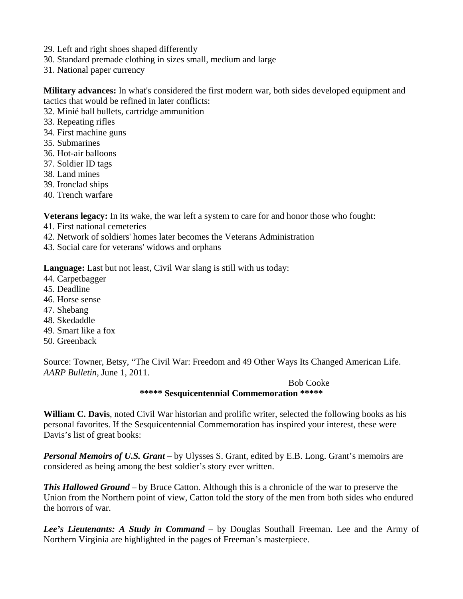- 29. Left and right shoes shaped differently
- 30. Standard premade clothing in sizes small, medium and large
- 31. National paper currency

**Military advances:** In what's considered the first modern war, both sides developed equipment and tactics that would be refined in later conflicts:

- 32. Minié ball bullets, cartridge ammunition
- 33. Repeating rifles
- 34. First machine guns
- 35. Submarines
- 36. Hot-air balloons
- 37. Soldier ID tags
- 38. Land mines
- 39. Ironclad ships
- 40. Trench warfare

**Veterans legacy:** In its wake, the war left a system to care for and honor those who fought:

- 41. First national cemeteries
- 42. Network of soldiers' homes later becomes the Veterans Administration
- 43. Social care for veterans' widows and orphans

**Language:** Last but not least, Civil War slang is still with us today:

- 44. Carpetbagger
- 45. Deadline
- 46. Horse sense
- 47. Shebang
- 48. Skedaddle
- 49. Smart like a fox
- 50. Greenback

Source: Towner, Betsy, "The Civil War: Freedom and 49 Other Ways Its Changed American Life. *AARP Bulletin,* June 1, 2011.

> Bob Cooke **\*\*\*\*\* Sesquicentennial Commemoration \*\*\*\*\***

**William C. Davis**, noted Civil War historian and prolific writer, selected the following books as his personal favorites. If the Sesquicentennial Commemoration has inspired your interest, these were Davis's list of great books:

*Personal Memoirs of U.S. Grant* – by Ulysses S. Grant, edited by E.B. Long. Grant's memoirs are considered as being among the best soldier's story ever written.

*This Hallowed Ground –* by Bruce Catton. Although this is a chronicle of the war to preserve the Union from the Northern point of view, Catton told the story of the men from both sides who endured the horrors of war.

*Lee's Lieutenants: A Study in Command* – by Douglas Southall Freeman. Lee and the Army of Northern Virginia are highlighted in the pages of Freeman's masterpiece.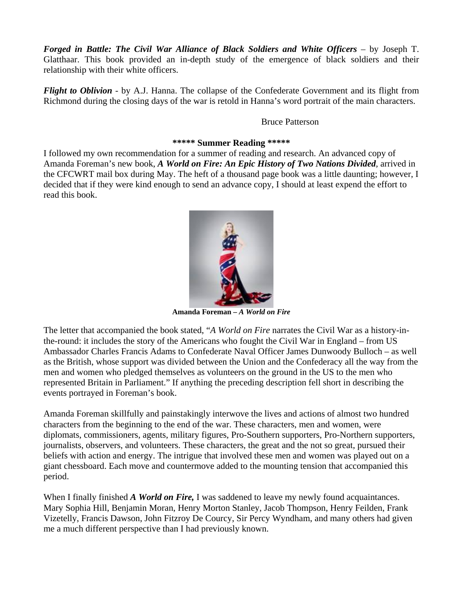*Forged in Battle: The Civil War Alliance of Black Soldiers and White Officers –* by Joseph T. Glatthaar. This book provided an in-depth study of the emergence of black soldiers and their relationship with their white officers.

*Flight to Oblivion -* by A.J. Hanna. The collapse of the Confederate Government and its flight from Richmond during the closing days of the war is retold in Hanna's word portrait of the main characters.

#### Bruce Patterson

#### **\*\*\*\*\* Summer Reading \*\*\*\*\***

I followed my own recommendation for a summer of reading and research. An advanced copy of Amanda Foreman's new book, *A World on Fire: An Epic History of Two Nations Divided,* arrived in the CFCWRT mail box during May. The heft of a thousand page book was a little daunting; however, I decided that if they were kind enough to send an advance copy, I should at least expend the effort to read this book.



**Amanda Foreman –** *A World on Fire*

The letter that accompanied the book stated, "*A World on Fire* narrates the Civil War as a history-inthe-round: it includes the story of the Americans who fought the Civil War in England – from US Ambassador Charles Francis Adams to Confederate Naval Officer James Dunwoody Bulloch – as well as the British, whose support was divided between the Union and the Confederacy all the way from the men and women who pledged themselves as volunteers on the ground in the US to the men who represented Britain in Parliament." If anything the preceding description fell short in describing the events portrayed in Foreman's book.

Amanda Foreman skillfully and painstakingly interwove the lives and actions of almost two hundred characters from the beginning to the end of the war. These characters, men and women, were diplomats, commissioners, agents, military figures, Pro-Southern supporters, Pro-Northern supporters, journalists, observers, and volunteers. These characters, the great and the not so great, pursued their beliefs with action and energy. The intrigue that involved these men and women was played out on a giant chessboard. Each move and countermove added to the mounting tension that accompanied this period.

When I finally finished *A World on Fire,* I was saddened to leave my newly found acquaintances. Mary Sophia Hill, Benjamin Moran, Henry Morton Stanley, Jacob Thompson, Henry Feilden, Frank Vizetelly, Francis Dawson, John Fitzroy De Courcy, Sir Percy Wyndham, and many others had given me a much different perspective than I had previously known.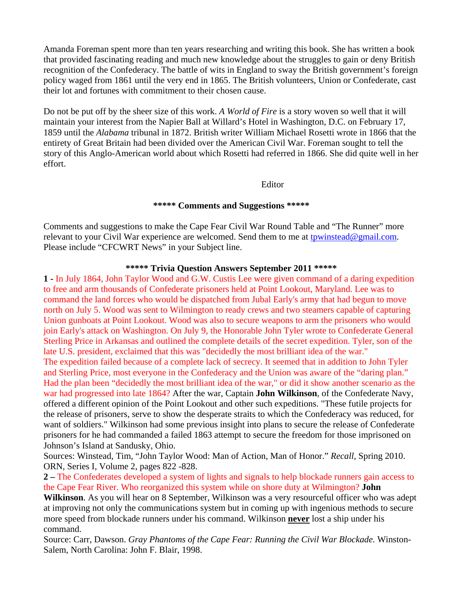Amanda Foreman spent more than ten years researching and writing this book. She has written a book that provided fascinating reading and much new knowledge about the struggles to gain or deny British recognition of the Confederacy. The battle of wits in England to sway the British government's foreign policy waged from 1861 until the very end in 1865. The British volunteers, Union or Confederate, cast their lot and fortunes with commitment to their chosen cause.

Do not be put off by the sheer size of this work. *A World of Fire* is a story woven so well that it will maintain your interest from the Napier Ball at Willard's Hotel in Washington, D.C. on February 17, 1859 until the *Alabama* tribunal in 1872. British writer William Michael Rosetti wrote in 1866 that the entirety of Great Britain had been divided over the American Civil War. Foreman sought to tell the story of this Anglo-American world about which Rosetti had referred in 1866. She did quite well in her effort.

Editor

#### **\*\*\*\*\* Comments and Suggestions \*\*\*\*\***

Comments and suggestions to make the Cape Fear Civil War Round Table and "The Runner" more relevant to your Civil War experience are welcomed. Send them to me at [tpwinstead@gmail.com.](mailto:tpwinstead@gmail.com) Please include "CFCWRT News" in your Subject line.

#### **\*\*\*\*\* Trivia Question Answers September 2011 \*\*\*\*\***

**1 -** In July 1864, John Taylor Wood and G.W. Custis Lee were given command of a daring expedition to free and arm thousands of Confederate prisoners held at Point Lookout, Maryland. Lee was to command the land forces who would be dispatched from Jubal Early's army that had begun to move north on July 5. Wood was sent to Wilmington to ready crews and two steamers capable of capturing Union gunboats at Point Lookout. Wood was also to secure weapons to arm the prisoners who would join Early's attack on Washington. On July 9, the Honorable John Tyler wrote to Confederate General Sterling Price in Arkansas and outlined the complete details of the secret expedition. Tyler, son of the late U.S. president, exclaimed that this was "decidedly the most brilliant idea of the war."

The expedition failed because of a complete lack of secrecy. It seemed that in addition to John Tyler and Sterling Price, most everyone in the Confederacy and the Union was aware of the "daring plan." Had the plan been "decidedly the most brilliant idea of the war," or did it show another scenario as the war had progressed into late 1864? After the war, Captain **John Wilkinson**, of the Confederate Navy, offered a different opinion of the Point Lookout and other such expeditions. "These futile projects for the release of prisoners, serve to show the desperate straits to which the Confederacy was reduced, for want of soldiers." Wilkinson had some previous insight into plans to secure the release of Confederate prisoners for he had commanded a failed 1863 attempt to secure the freedom for those imprisoned on Johnson's Island at Sandusky, Ohio.

Sources: Winstead, Tim, "John Taylor Wood: Man of Action, Man of Honor." *Recall,* Spring 2010. ORN, Series I, Volume 2, pages 822 -828.

**2 –** The Confederates developed a system of lights and signals to help blockade runners gain access to the Cape Fear River. Who reorganized this system while on shore duty at Wilmington? **John** 

**Wilkinson**. As you will hear on 8 September, Wilkinson was a very resourceful officer who was adept at improving not only the communications system but in coming up with ingenious methods to secure more speed from blockade runners under his command. Wilkinson **never** lost a ship under his command.

Source: Carr, Dawson. *Gray Phantoms of the Cape Fear: Running the Civil War Blockade.* Winston-Salem, North Carolina: John F. Blair, 1998.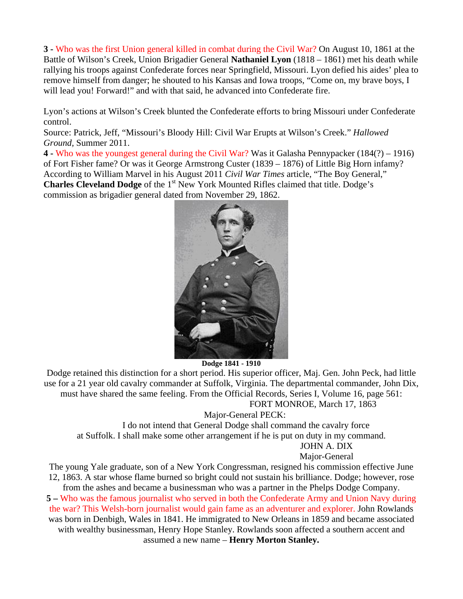**3 -** Who was the first Union general killed in combat during the Civil War? On August 10, 1861 at the Battle of Wilson's Creek, Union Brigadier General **Nathaniel Lyon** (1818 – 1861) met his death while rallying his troops against Confederate forces near Springfield, Missouri. Lyon defied his aides' plea to remove himself from danger; he shouted to his Kansas and Iowa troops, "Come on, my brave boys, I will lead you! Forward!" and with that said, he advanced into Confederate fire.

Lyon's actions at Wilson's Creek blunted the Confederate efforts to bring Missouri under Confederate control.

Source: Patrick, Jeff, "Missouri's Bloody Hill: Civil War Erupts at Wilson's Creek." *Hallowed Ground,* Summer 2011.

**4 -** Who was the youngest general during the Civil War? Was it Galasha Pennypacker (184(?) – 1916) of Fort Fisher fame? Or was it George Armstrong Custer (1839 – 1876) of Little Big Horn infamy? According to William Marvel in his August 2011 *Civil War Times* article, "The Boy General," **Charles Cleveland Dodge** of the 1<sup>st</sup> New York Mounted Rifles claimed that title. Dodge's commission as brigadier general dated from November 29, 1862.



**Dodge 1841 - 1910**

Dodge retained this distinction for a short period. His superior officer, Maj. Gen. John Peck, had little use for a 21 year old cavalry commander at Suffolk, Virginia. The departmental commander, John Dix, must have shared the same feeling. From the Official Records, Series I, Volume 16, page 561: FORT MONROE, March 17, 1863

Major-General PECK:

 I do not intend that General Dodge shall command the cavalry force at Suffolk. I shall make some other arrangement if he is put on duty in my command. JOHN A. DIX

Major-General

The young Yale graduate, son of a New York Congressman, resigned his commission effective June 12, 1863. A star whose flame burned so bright could not sustain his brilliance. Dodge; however, rose from the ashes and became a businessman who was a partner in the Phelps Dodge Company.

**5 –** Who was the famous journalist who served in both the Confederate Army and Union Navy during the war? This Welsh-born journalist would gain fame as an adventurer and explorer. John Rowlands was born in Denbigh, Wales in 1841. He immigrated to New Orleans in 1859 and became associated with wealthy businessman, Henry Hope Stanley. Rowlands soon affected a southern accent and assumed a new name – **Henry Morton Stanley.**